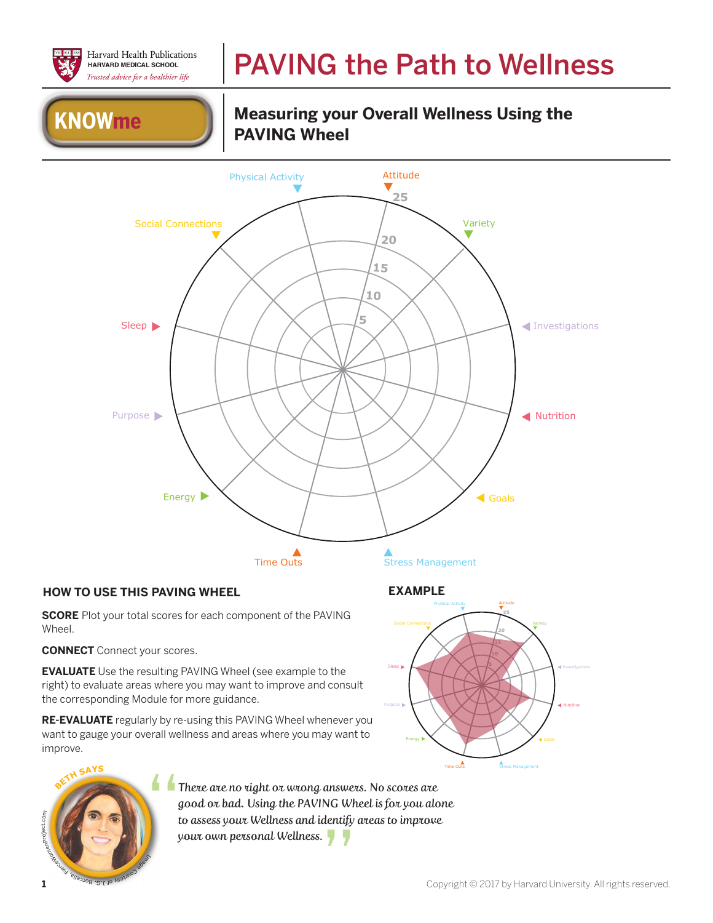

### PAVING the Path to Wellness

# **KNOWme Department Measuring you**

## **Measuring your Overall Wellness Using the**



#### **HOW TO USE THIS PAVING WHEEL EXAMPLE**

**SCORE** Plot your total scores for each component of the PAVING Wheel.

**CONNECT** Connect your scores.

**EVALUATE** Use the resulting PAVING Wheel (see example to the right) to evaluate areas where you may want to improve and consult the corresponding Module for more guidance.

**RE-EVALUATE** regularly by re-using this PAVING Wheel whenever you want to gauge your overall wellness and areas where you may want to improve.





There are no right or wrong answers. No scores are good or bad. Using the PAVING Wheel is for you alone to assess your Wellness and identify areas to improve There are no right or wrong answer<br>good or bad. Using the PAVING Wh<br>to assess your Wellness and identify<br>your own personal Wellness.